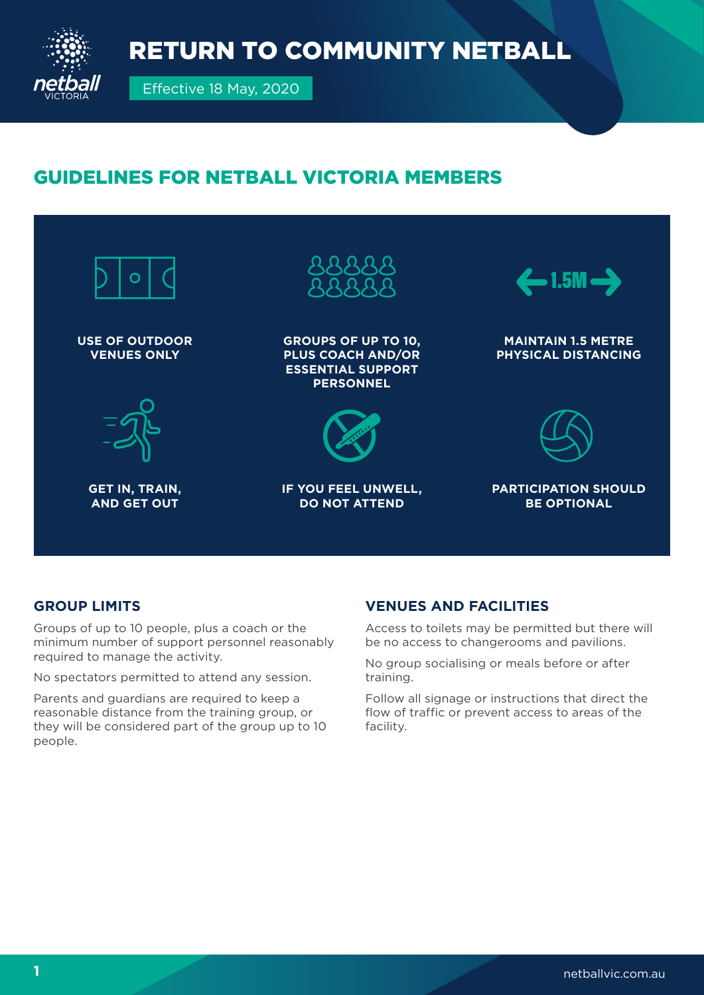

# GUIDELINES FOR NETBALL VICTORIA MEMBERS



### **GROUP LIMITS**

Groups of up to 10 people, plus a coach or the minimum number of support personnel reasonably required to manage the activity.

No spectators permitted to attend any session.

Parents and guardians are required to keep a reasonable distance from the training group, or they will be considered part of the group up to 10 people.

### **VENUES AND FACILITIES**

Access to toilets may be permitted but there will be no access to changerooms and pavilions.

No group socialising or meals before or after training.

Follow all signage or instructions that direct the flow of traffic or prevent access to areas of the facility.